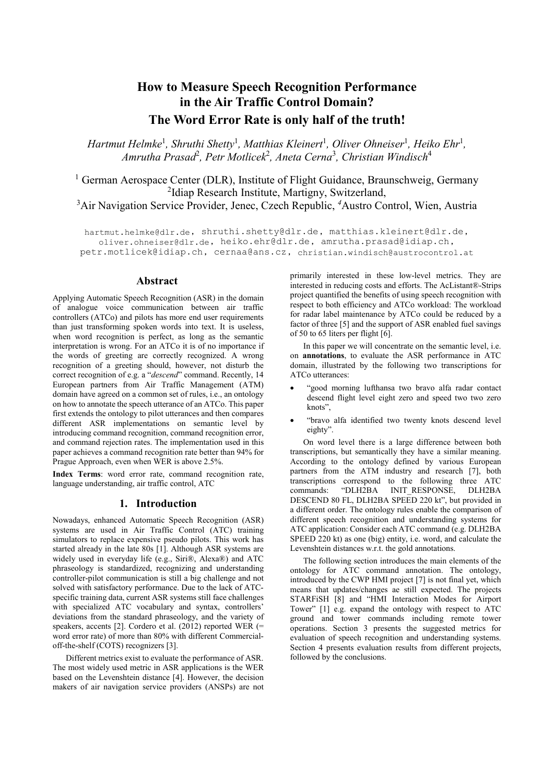# How to Measure Speech Recognition Performance in the Air Traffic Control Domain? The Word Error Rate is only half of the truth!

*Hartmut Helmke*<sup>1</sup> *, Shruthi Shetty*<sup>1</sup> *, Matthias Kleinert*<sup>1</sup> *, Oliver Ohneiser*<sup>1</sup> *, Heiko Ehr*<sup>1</sup> *, Amrutha Prasad*<sup>2</sup> *, Petr Motlicek*<sup>2</sup> *, Aneta Cerna*<sup>3</sup> *, Christian Windisch*<sup>4</sup>

<sup>1</sup> German Aerospace Center (DLR), Institute of Flight Guidance, Braunschweig, Germany <sup>2</sup>Idiap Research Institute, Martigny, Switzerland, <sup>2</sup>Idiap Research Institute, Martigny, Switzerland,<br><sup>3</sup>Air Navigation Service Provider, Jenec, Czech Republic, <sup>4</sup>Austro Control, Wien, Austria

hartmut.helmke@dlr.de, shruthi.shetty@dlr.de, matthias.kleinert@dlr.de, oliver.ohneiser@dlr.de, heiko.ehr@dlr.de, amrutha.prasad@idiap.ch, petr.motlicek@idiap.ch, cernaa@ans.cz, christian.windisch@austrocontrol.at

## Abstract

Applying Automatic Speech Recognition (ASR) in the domain of analogue voice communication between air traffic controllers (ATCo) and pilots has more end user requirements than just transforming spoken words into text. It is useless, when word recognition is perfect, as long as the semantic interpretation is wrong. For an ATCo it is of no importance if the words of greeting are correctly recognized. A wrong recognition of a greeting should, however, not disturb the correct recognition of e.g. a "*descend*" command. Recently, 14 European partners from Air Traffic Management (ATM) domain have agreed on a common set of rules, i.e., an ontology on how to annotate the speech utterance of an ATCo. This paper first extends the ontology to pilot utterances and then compares different ASR implementations on semantic level by introducing command recognition, command recognition error, and command rejection rates. The implementation used in this paper achieves a command recognition rate better than 94% for Prague Approach, even when WER is above 2.5%.

Index Terms: word error rate, command recognition rate, language understanding, air traffic control, ATC

#### 1. Introduction

Nowadays, enhanced Automatic Speech Recognition (ASR) systems are used in Air Traffic Control (ATC) training simulators to replace expensive pseudo pilots. This work has started already in the late 80s [1]. Although ASR systems are widely used in everyday life (e.g., Siri®, Alexa®) and ATC phraseology is standardized, recognizing and understanding controller-pilot communication is still a big challenge and not solved with satisfactory performance. Due to the lack of ATCspecific training data, current ASR systems still face challenges with specialized ATC vocabulary and syntax, controllers' deviations from the standard phraseology, and the variety of speakers, accents [2]. Cordero et al. (2012) reported WER (= word error rate) of more than 80% with different Commercialoff-the-shelf (COTS) recognizers [3].

Different metrics exist to evaluate the performance of ASR. The most widely used metric in ASR applications is the WER based on the Levenshtein distance [4]. However, the decision makers of air navigation service providers (ANSPs) are not primarily interested in these low-level metrics. They are interested in reducing costs and efforts. The AcListant®-Strips project quantified the benefits of using speech recognition with respect to both efficiency and ATCo workload: The workload for radar label maintenance by ATCo could be reduced by a factor of three [5] and the support of ASR enabled fuel savings of 50 to 65 liters per flight [6].

In this paper we will concentrate on the semantic level, i.e. on annotations, to evaluate the ASR performance in ATC domain, illustrated by the following two transcriptions for ATCo utterances:

- "good morning lufthansa two bravo alfa radar contact descend flight level eight zero and speed two two zero knots",
- "bravo alfa identified two twenty knots descend level eighty".

On word level there is a large difference between both transcriptions, but semantically they have a similar meaning. According to the ontology defined by various European partners from the ATM industry and research [7], both transcriptions correspond to the following three ATC commands: "DLH2BA INIT\_RESPONSE, DLH2BA DESCEND 80 FL, DLH2BA SPEED 220 kt", but provided in a different order. The ontology rules enable the comparison of different speech recognition and understanding systems for ATC application: Consider each ATC command (e.g. DLH2BA SPEED 220 kt) as one (big) entity, i.e. word, and calculate the Levenshtein distances w.r.t. the gold annotations.

The following section introduces the main elements of the ontology for ATC command annotation. The ontology, introduced by the CWP HMI project [7] is not final yet, which means that updates/changes ae still expected. The projects STARFiSH [8] and "HMI Interaction Modes for Airport Tower" [1] e.g. expand the ontology with respect to ATC ground and tower commands including remote tower operations. Section 3 presents the suggested metrics for evaluation of speech recognition and understanding systems. Section 4 presents evaluation results from different projects, followed by the conclusions.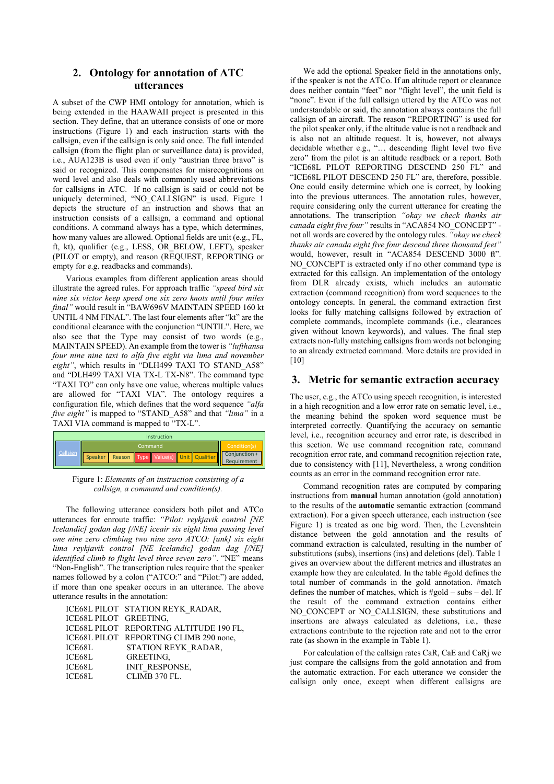# 2. Ontology for annotation of ATC utterances

A subset of the CWP HMI ontology for annotation, which is being extended in the HAAWAII project is presented in this section. They define, that an utterance consists of one or more instructions (Figure 1) and each instruction starts with the callsign, even if the callsign is only said once. The full intended callsign (from the flight plan or surveillance data) is provided, i.e., AUA123B is used even if only "austrian three bravo" is said or recognized. This compensates for misrecognitions on word level and also deals with commonly used abbreviations for callsigns in ATC. If no callsign is said or could not be uniquely determined, "NO\_CALLSIGN" is used. Figure 1 depicts the structure of an instruction and shows that an instruction consists of a callsign, a command and optional conditions. A command always has a type, which determines, how many values are allowed. Optional fields are unit (e.g., FL, ft, kt), qualifier (e.g., LESS, OR\_BELOW, LEFT), speaker (PILOT or empty), and reason (REQUEST, REPORTING or empty for e.g. readbacks and commands).

Various examples from different application areas should illustrate the agreed rules. For approach traffic *"speed bird six nine six victor keep speed one six zero knots until four miles final"* would result in "BAW696V MAINTAIN SPEED 160 kt UNTIL 4 NM FINAL". The last four elements after "kt" are the conditional clearance with the conjunction "UNTIL". Here, we also see that the Type may consist of two words (e.g., MAINTAIN SPEED). An example from the tower is *"lufthansa four nine nine taxi to alfa five eight via lima and november*  eight", which results in "DLH499 TAXI TO STAND A58" and "DLH499 TAXI VIA TX-L TX-N8". The command type "TAXI TO" can only have one value, whereas multiple values are allowed for "TAXI VIA". The ontology requires a configuration file, which defines that the word sequence *"alfa five eight"* is mapped to "STAND\_A58" and that *"lima"* in a TAXI VIA command is mapped to "TX-L".



Figure 1: *Elements of an instruction consisting of a callsign, a command and condition(s).*

The following utterance considers both pilot and ATCo utterances for enroute traffic: *"Pilot: reykjavik control [NE Icelandic] godan dag [/NE] iceair six eight lima passing level one nine zero climbing two nine zero ATCO: [unk] six eight lima reykjavik control [NE Icelandic] godan dag [/NE] identified climb to flight level three seven zero"*. "NE" means "Non-English". The transcription rules require that the speaker names followed by a colon ("ATCO:" and "Pilot:") are added, if more than one speaker occurs in an utterance. The above utterance results in the annotation:

ICE68L PILOT STATION REYK\_RADAR, ICE68L PILOT GREETING, ICE68L PILOT REPORTING ALTITUDE 190 FL, ICE68L PILOT REPORTING CLIMB 290 none, ICE68L STATION REYK\_RADAR, ICE68L GREETING,<br>ICE68L INIT RESPO ICE68L INIT\_RESPONSE,<br>ICE68L CLIMB 370 FL. CLIMB 370 FL.

We add the optional Speaker field in the annotations only, if the speaker is not the ATCo. If an altitude report or clearance does neither contain "feet" nor "flight level", the unit field is "none". Even if the full callsign uttered by the ATCo was not understandable or said, the annotation always contains the full callsign of an aircraft. The reason "REPORTING" is used for the pilot speaker only, if the altitude value is not a readback and is also not an altitude request. It is, however, not always decidable whether e.g., "… descending flight level two five zero" from the pilot is an altitude readback or a report. Both "ICE68L PILOT REPORTING DESCEND 250 FL" and "ICE68L PILOT DESCEND 250 FL" are, therefore, possible. One could easily determine which one is correct, by looking into the previous utterances. The annotation rules, however, require considering only the current utterance for creating the annotations. The transcription *"okay we check thanks air canada eight five four"* results in "ACA854 NO\_CONCEPT" not all words are covered by the ontology rules. *"okay we check thanks air canada eight five four descend three thousand feet"* would, however, result in "ACA854 DESCEND 3000 ft". NO\_CONCEPT is extracted only if no other command type is extracted for this callsign. An implementation of the ontology from DLR already exists, which includes an automatic extraction (command recognition) from word sequences to the ontology concepts. In general, the command extraction first looks for fully matching callsigns followed by extraction of complete commands, incomplete commands (i.e., clearances given without known keywords), and values. The final step extracts non-fully matching callsigns from words not belonging to an already extracted command. More details are provided in [10]

## 3. Metric for semantic extraction accuracy

The user, e.g., the ATCo using speech recognition, is interested in a high recognition and a low error rate on sematic level, i.e., the meaning behind the spoken word sequence must be interpreted correctly. Quantifying the accuracy on semantic level, i.e., recognition accuracy and error rate, is described in this section. We use command recognition rate, command recognition error rate, and command recognition rejection rate, due to consistency with [11], Nevertheless, a wrong condition counts as an error in the command recognition error rate.

Command recognition rates are computed by comparing instructions from manual human annotation (gold annotation) to the results of the automatic semantic extraction (command extraction). For a given speech utterance, each instruction (see Figure 1) is treated as one big word. Then, the Levenshtein distance between the gold annotation and the results of command extraction is calculated, resulting in the number of substitutions (subs), insertions (ins) and deletions (del). Table 1 gives an overview about the different metrics and illustrates an example how they are calculated. In the table #gold defines the total number of commands in the gold annotation. #match defines the number of matches, which is #gold – subs – del. If the result of the command extraction contains either NO\_CONCEPT or NO\_CALLSIGN, these substitutions and insertions are always calculated as deletions, i.e., these extractions contribute to the rejection rate and not to the error rate (as shown in the example in Table 1).

For calculation of the callsign rates CaR, CaE and CaRj we just compare the callsigns from the gold annotation and from the automatic extraction. For each utterance we consider the callsign only once, except when different callsigns are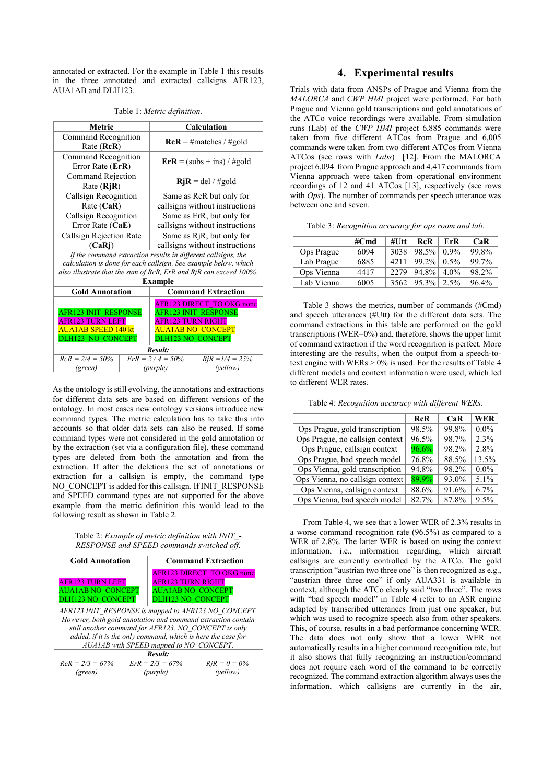annotated or extracted. For the example in Table 1 this results in the three annotated and extracted callsigns AFR123, AUA1AB and DLH123.

| Metric                                  |                                                                   | <b>Calculation</b>                                                  |                                                                 |  |  |
|-----------------------------------------|-------------------------------------------------------------------|---------------------------------------------------------------------|-----------------------------------------------------------------|--|--|
| Command Recognition<br>Rate (RcR)       |                                                                   | $RcR = \text{\#matches}/\text{\#gold}$                              |                                                                 |  |  |
| Command Recognition<br>Error Rate (ErR) |                                                                   | $\text{Er} \mathbf{R} = (\text{subs} + \text{ins}) / \text{\#gold}$ |                                                                 |  |  |
| Rate (RjR)                              | Command Rejection                                                 |                                                                     | $RjR = del / \# gold$                                           |  |  |
| Callsign Recognition                    |                                                                   |                                                                     | Same as RcR but only for                                        |  |  |
| Rate (CaR)                              |                                                                   |                                                                     | callsigns without instructions                                  |  |  |
| Callsign Recognition                    |                                                                   |                                                                     | Same as ErR, but only for                                       |  |  |
| Error Rate (CaE)                        |                                                                   | callsigns without instructions                                      |                                                                 |  |  |
|                                         | Callsign Rejection Rate                                           |                                                                     | Same as R <sub>j</sub> R, but only for                          |  |  |
| (CaRi)                                  |                                                                   | callsigns without instructions                                      |                                                                 |  |  |
|                                         |                                                                   |                                                                     | If the command extraction results in different callsigns, the   |  |  |
|                                         |                                                                   |                                                                     | calculation is done for each callsign. See example below, which |  |  |
|                                         | also illustrate that the sum of RcR, ErR and RjR can exceed 100%. |                                                                     |                                                                 |  |  |
|                                         |                                                                   | <b>Example</b>                                                      |                                                                 |  |  |
| <b>Gold Annotation</b>                  |                                                                   | <b>Command Extraction</b>                                           |                                                                 |  |  |
|                                         |                                                                   |                                                                     | <b>AFR123 DIRECT TO OKG none</b>                                |  |  |
| <b>AFR123 INIT RESPONSE</b>             |                                                                   | <b>AFR123 INIT RESPONSE</b>                                         |                                                                 |  |  |
| AFR123 TURN LEFT                        |                                                                   | AFR123 TURN RIGHT                                                   |                                                                 |  |  |
| AUA1AB SPEED 140 kt                     |                                                                   | <b>AUA1AB NO CONCEPT</b>                                            |                                                                 |  |  |
| <b>DLH123 NO CONCEPT</b>                |                                                                   | <b>DLH123 NO CONCEPT</b>                                            |                                                                 |  |  |
| Result:                                 |                                                                   |                                                                     |                                                                 |  |  |
| $RcR = 2/4 = 50\%$                      | $ErR = 2/4 = 50\%$                                                |                                                                     | $RiR = 1/4 = 25%$                                               |  |  |
| (green)                                 |                                                                   | (purple)                                                            | (vellow)                                                        |  |  |

Table 1: *Metric definition.*

As the ontology is still evolving, the annotations and extractions for different data sets are based on different versions of the ontology. In most cases new ontology versions introduce new command types. The metric calculation has to take this into accounts so that older data sets can also be reused. If some command types were not considered in the gold annotation or by the extraction (set via a configuration file), these command types are deleted from both the annotation and from the extraction. If after the deletions the set of annotations or extraction for a callsign is empty, the command type NO\_CONCEPT is added for this callsign. If INIT\_RESPONSE and SPEED command types are not supported for the above example from the metric definition this would lead to the following result as shown in Table 2.

#### Table 2: *Example of metric definition with INIT\_- RESPONSE and SPEED commands switched off.*

| <b>Gold Annotation</b>                                       |  |                          | <b>Command Extraction</b>                                    |  |  |
|--------------------------------------------------------------|--|--------------------------|--------------------------------------------------------------|--|--|
|                                                              |  |                          | <b>AFR123 DIRECT TO OKG none</b>                             |  |  |
| <b>AFR123 TURN LEFT</b>                                      |  | <b>AFR123 TURN RIGHT</b> |                                                              |  |  |
| <b>AUA1AB NO CONCEPT</b>                                     |  |                          | <b>AUAIAB NO CONCEPT</b>                                     |  |  |
| <b>DLH123 NO CONCEPT</b>                                     |  | <b>DLH123 NO CONCEPT</b> |                                                              |  |  |
| AFR123 INIT RESPONSE is mapped to AFR123 NO CONCEPT.         |  |                          |                                                              |  |  |
|                                                              |  |                          | However, both gold annotation and command extraction contain |  |  |
| still another command for AFR123. NO CONCEPT is only         |  |                          |                                                              |  |  |
| added, if it is the only command, which is here the case for |  |                          |                                                              |  |  |
| AUA1AB with SPEED mapped to NO CONCEPT.                      |  |                          |                                                              |  |  |
| Result:                                                      |  |                          |                                                              |  |  |
| $RcR = 2/3 = 67\%$                                           |  | $ErR = 2/3 = 67\%$       | $RjR = 0 = 0\%$                                              |  |  |
| (green)                                                      |  | (purple)                 | (vellow)                                                     |  |  |

# 4. Experimental results

Trials with data from ANSPs of Prague and Vienna from the *MALORCA* and *CWP HMI* project were performed. For both Prague and Vienna gold transcriptions and gold annotations of the ATCo voice recordings were available. From simulation runs (Lab) of the *CWP HMI* project 6,885 commands were taken from five different ATCos from Prague and 6,005 commands were taken from two different ATCos from Vienna ATCos (see rows with *Labs*) [12]. From the MALORCA project 6,094 from Prague approach and 4,417 commands from Vienna approach were taken from operational environment recordings of 12 and 41 ATCos [13], respectively (see rows with *Ops*). The number of commands per speech utterance was between one and seven.

|            | #Cmd | $#U$ tt | <b>RcR</b> | ErR     | CaR   |
|------------|------|---------|------------|---------|-------|
| Ops Prague | 6094 | 3038    | 98.5%      | 0.9%    | 99.8% |
| Lab Prague | 6885 | 42.11   | $99.2\%$   | $0.5\%$ | 99.7% |
| Ops Vienna | 4417 | 22.79   | 94.8%      | $4.0\%$ | 98.2% |
| Lab Vienna | 6005 | 3562    | $95.3\%$   | 2.5%    | 96.4% |

Table 3 shows the metrics, number of commands (#Cmd) and speech utterances (#Utt) for the different data sets. The command extractions in this table are performed on the gold transcriptions (WER=0%) and, therefore, shows the upper limit of command extraction if the word recognition is perfect. More interesting are the results, when the output from a speech-totext engine with WERs  $> 0\%$  is used. For the results of Table 4 different models and context information were used, which led to different WER rates.

Table 4: *Recognition accuracy with different WERs.*

|                                 | <b>RcR</b> | CaR   | <b>WER</b> |
|---------------------------------|------------|-------|------------|
| Ops Prague, gold transcription  | 98.5%      | 99.8% | $0.0\%$    |
| Ops Prague, no callsign context | 96.5%      | 98.7% | 2.3%       |
| Ops Prague, callsign context    | 96.6%      | 98.2% | 2.8%       |
| Ops Prague, bad speech model    | 76.8%      | 88.5% | 13.5%      |
| Ops Vienna, gold transcription  | 94.8%      | 98.2% | $0.0\%$    |
| Ops Vienna, no callsign context | 89.9%      | 93.0% | 5.1%       |
| Ops Vienna, callsign context    | 88.6%      | 91.6% | 6.7%       |
| Ops Vienna, bad speech model    | 82.7%      | 87.8% | 9.5%       |

From Table 4, we see that a lower WER of 2.3% results in a worse command recognition rate (96.5%) as compared to a WER of 2.8%. The latter WER is based on using the context information, i.e., information regarding, which aircraft callsigns are currently controlled by the ATCo. The gold transcription "austrian two three one" is then recognized as e.g., "austrian three three one" if only AUA331 is available in context, although the ATCo clearly said "two three". The rows with "bad speech model" in Table 4 refer to an ASR engine adapted by transcribed utterances from just one speaker, but which was used to recognize speech also from other speakers. This, of course, results in a bad performance concerning WER. The data does not only show that a lower WER not automatically results in a higher command recognition rate, but it also shows that fully recognizing an instruction/command does not require each word of the command to be correctly recognized. The command extraction algorithm always uses the information, which callsigns are currently in the air,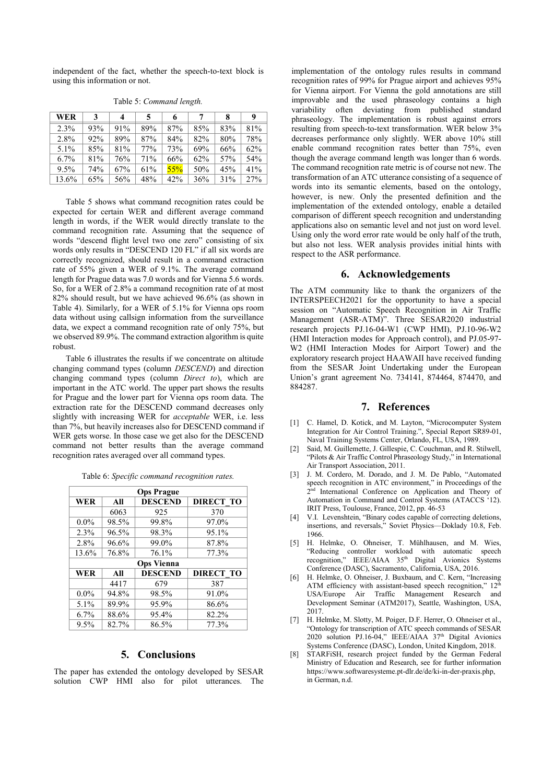independent of the fact, whether the speech-to-text block is using this information or not.

| WER     | 3   | 4   | 5   | 6   | 7   | 8   | 9   |
|---------|-----|-----|-----|-----|-----|-----|-----|
| 2.3%    | 93% | 91% | 89% | 87% | 85% | 83% | 81% |
| 2.8%    | 92% | 89% | 87% | 84% | 82% | 80% | 78% |
| 5.1%    | 85% | 81% | 77% | 73% | 69% | 66% | 62% |
| $6.7\%$ | 81% | 76% | 71% | 66% | 62% | 57% | 54% |
| 9.5%    | 74% | 67% | 61% | 55% | 50% | 45% | 41% |
| 13.6%   | 65% | 56% | 48% | 42% | 36% | 31% | 27% |

Table 5: *Command length.*

Table 5 shows what command recognition rates could be expected for certain WER and different average command length in words, if the WER would directly translate to the command recognition rate. Assuming that the sequence of words "descend flight level two one zero" consisting of six words only results in "DESCEND 120 FL" if all six words are correctly recognized, should result in a command extraction rate of 55% given a WER of 9.1%. The average command length for Prague data was 7.0 words and for Vienna 5.6 words. So, for a WER of 2.8% a command recognition rate of at most 82% should result, but we have achieved 96.6% (as shown in Table 4). Similarly, for a WER of 5.1% for Vienna ops room data without using callsign information from the surveillance data, we expect a command recognition rate of only 75%, but we observed 89.9%. The command extraction algorithm is quite robust.

Table 6 illustrates the results if we concentrate on altitude changing command types (column *DESCEND*) and direction changing command types (column *Direct to*), which are important in the ATC world. The upper part shows the results for Prague and the lower part for Vienna ops room data. The extraction rate for the DESCEND command decreases only slightly with increasing WER for *acceptable* WER, i.e. less than 7%, but heavily increases also for DESCEND command if WER gets worse. In those case we get also for the DESCEND command not better results than the average command recognition rates averaged over all command types.

| <b>Ops Prague</b> |                   |                |                  |  |  |  |  |  |
|-------------------|-------------------|----------------|------------------|--|--|--|--|--|
| <b>WER</b>        | All               | <b>DESCEND</b> | <b>DIRECT TO</b> |  |  |  |  |  |
|                   | 6063              | 925            | 370              |  |  |  |  |  |
| $0.0\%$           | 98.5%             | 99.8%          | 97.0%            |  |  |  |  |  |
| 2.3%              | 96.5%             | 98.3%          | 95.1%            |  |  |  |  |  |
| 2.8%              | 96.6%             | 99.0%          | 87.8%            |  |  |  |  |  |
| 13.6%             | 76.8%             | 76.1%          | 77.3%            |  |  |  |  |  |
|                   | <b>Ops Vienna</b> |                |                  |  |  |  |  |  |
| <b>WER</b>        | All               | <b>DESCEND</b> | <b>DIRECT TO</b> |  |  |  |  |  |
|                   | 4417              | 679            | 387              |  |  |  |  |  |
| $0.0\%$           | 94.8%             | 98.5%          | 91.0%            |  |  |  |  |  |
| 5.1%              | 89.9%             | 95.9%          | 86.6%            |  |  |  |  |  |
| 6.7%              | 88.6%             | 95.4%          | 82.2%            |  |  |  |  |  |
| 9.5%              | 82.7%             | 86.5%          | 77.3%            |  |  |  |  |  |

Table 6: *Specific command recognition rates.*

# 5. Conclusions

The paper has extended the ontology developed by SESAR solution CWP HMI also for pilot utterances. The implementation of the ontology rules results in command recognition rates of 99% for Prague airport and achieves 95% for Vienna airport. For Vienna the gold annotations are still improvable and the used phraseology contains a high variability often deviating from published standard phraseology. The implementation is robust against errors resulting from speech-to-text transformation. WER below 3% decreases performance only slightly. WER above 10% still enable command recognition rates better than 75%, even though the average command length was longer than 6 words. The command recognition rate metric is of course not new. The transformation of an ATC utterance consisting of a sequence of words into its semantic elements, based on the ontology, however, is new. Only the presented definition and the implementation of the extended ontology, enable a detailed comparison of different speech recognition and understanding applications also on semantic level and not just on word level. Using only the word error rate would be only half of the truth, but also not less. WER analysis provides initial hints with respect to the ASR performance.

#### 6. Acknowledgements

The ATM community like to thank the organizers of the INTERSPEECH2021 for the opportunity to have a special session on "Automatic Speech Recognition in Air Traffic Management (ASR-ATM)". Three SESAR2020 industrial research projects PJ.16-04-W1 (CWP HMI), PJ.10-96-W2 (HMI Interaction modes for Approach control), and PJ.05-97- W2 (HMI Interaction Modes for Airport Tower) and the exploratory research project HAAWAII have received funding from the SESAR Joint Undertaking under the European Union's grant agreement No. 734141, 874464, 874470, and 884287.

# 7. References

- [1] C. Hamel, D. Kotick, and M. Layton, "Microcomputer System Integration for Air Control Training.", Special Report SR89-01, Naval Training Systems Center, Orlando, FL, USA, 1989.
- [2] Said, M. Guillemette, J. Gillespie, C. Couchman, and R. Stilwell, "Pilots & Air Traffic Control Phraseology Study," in International Air Transport Association, 2011.
- [3] J. M. Cordero, M. Dorado, and J. M. De Pablo, "Automated speech recognition in ATC environment," in Proceedings of the 2<sup>nd</sup> International Conference on Application and Theory of Automation in Command and Control Systems (ATACCS '12). IRIT Press, Toulouse, France, 2012, pp. 46-53
- [4] V.I. Levenshtein, "Binary codes capable of correcting deletions, insertions, and reversals," Soviet Physics—Doklady 10.8, Feb. 1966.
- [5] H. Helmke, O. Ohneiser, T. Mühlhausen, and M. Wies, "Reducing controller workload with automatic speech recognition," IEEE/AIAA 35<sup>th</sup> Digital Avionics Systems Conference (DASC), Sacramento, California, USA, 2016.
- [6] H. Helmke, O. Ohneiser, J. Buxbaum, and C. Kern, "Increasing ATM efficiency with assistant-based speech recognition,"  $12^{\frac{1}{10}}$ USA/Europe Air Traffic Management Research and Development Seminar (ATM2017), Seattle, Washington, USA, 2017.
- [7] H. Helmke, M. Slotty, M. Poiger, D.F. Herrer, O. Ohneiser et al., "Ontology for transcription of ATC speech commands of SESAR 2020 solution PJ.16-04," IEEE/AIAA 37<sup>th</sup> Digital Avionics Systems Conference (DASC), London, United Kingdom, 2018.
- [8] STARFiSH, research project funded by the German Federal Ministry of Education and Research, see for further information https://www.softwaresysteme.pt-dlr.de/de/ki-in-der-praxis.php, in German, n.d.